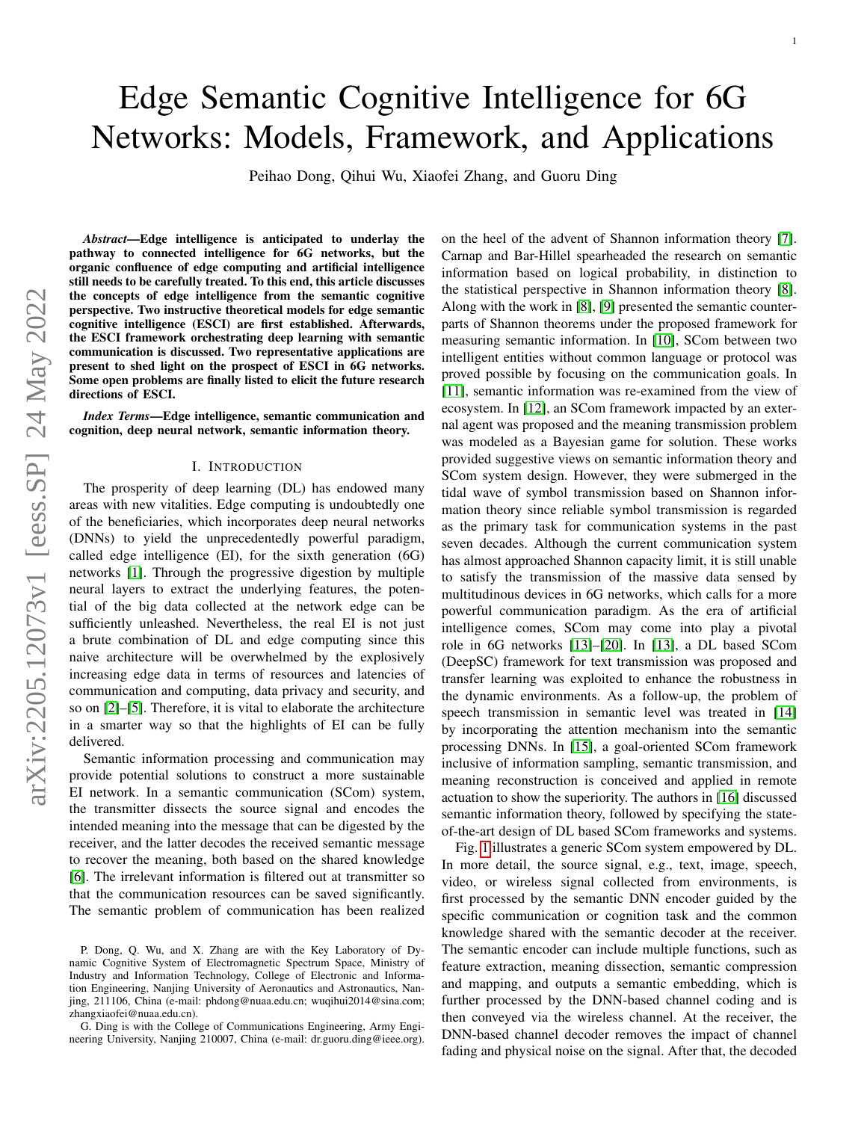# Edge Semantic Cognitive Intelligence for 6G Networks: Models, Framework, and Applications

Peihao Dong, Qihui Wu, Xiaofei Zhang, and Guoru Ding

*Abstract*—Edge intelligence is anticipated to underlay the pathway to connected intelligence for 6G networks, but the organic confluence of edge computing and artificial intelligence still needs to be carefully treated. To this end, this article discusses the concepts of edge intelligence from the semantic cognitive perspective. Two instructive theoretical models for edge semantic cognitive intelligence (ESCI) are first established. Afterwards, the ESCI framework orchestrating deep learning with semantic communication is discussed. Two representative applications are present to shed light on the prospect of ESCI in 6G networks. Some open problems are finally listed to elicit the future research directions of ESCI.

*Index Terms*—Edge intelligence, semantic communication and cognition, deep neural network, semantic information theory.

## I. INTRODUCTION

The prosperity of deep learning (DL) has endowed many areas with new vitalities. Edge computing is undoubtedly one of the beneficiaries, which incorporates deep neural networks (DNNs) to yield the unprecedentedly powerful paradigm, called edge intelligence (EI), for the sixth generation (6G) networks [\[1\]](#page-7-0). Through the progressive digestion by multiple neural layers to extract the underlying features, the potential of the big data collected at the network edge can be sufficiently unleashed. Nevertheless, the real EI is not just a brute combination of DL and edge computing since this naive architecture will be overwhelmed by the explosively increasing edge data in terms of resources and latencies of communication and computing, data privacy and security, and so on [\[2\]](#page-7-1)–[\[5\]](#page-7-2). Therefore, it is vital to elaborate the architecture in a smarter way so that the highlights of EI can be fully delivered.

Semantic information processing and communication may provide potential solutions to construct a more sustainable EI network. In a semantic communication (SCom) system, the transmitter dissects the source signal and encodes the intended meaning into the message that can be digested by the receiver, and the latter decodes the received semantic message to recover the meaning, both based on the shared knowledge [\[6\]](#page-7-3). The irrelevant information is filtered out at transmitter so that the communication resources can be saved significantly. The semantic problem of communication has been realized on the heel of the advent of Shannon information theory [\[7\]](#page-7-4). Carnap and Bar-Hillel spearheaded the research on semantic information based on logical probability, in distinction to the statistical perspective in Shannon information theory [\[8\]](#page-7-5). Along with the work in [\[8\]](#page-7-5), [\[9\]](#page-7-6) presented the semantic counterparts of Shannon theorems under the proposed framework for measuring semantic information. In [\[10\]](#page-7-7), SCom between two intelligent entities without common language or protocol was proved possible by focusing on the communication goals. In [\[11\]](#page-7-8), semantic information was re-examined from the view of ecosystem. In [\[12\]](#page-7-9), an SCom framework impacted by an external agent was proposed and the meaning transmission problem was modeled as a Bayesian game for solution. These works provided suggestive views on semantic information theory and SCom system design. However, they were submerged in the tidal wave of symbol transmission based on Shannon information theory since reliable symbol transmission is regarded as the primary task for communication systems in the past seven decades. Although the current communication system has almost approached Shannon capacity limit, it is still unable to satisfy the transmission of the massive data sensed by multitudinous devices in 6G networks, which calls for a more powerful communication paradigm. As the era of artificial intelligence comes, SCom may come into play a pivotal role in 6G networks [\[13\]](#page-7-10)–[\[20\]](#page-8-0). In [\[13\]](#page-7-10), a DL based SCom (DeepSC) framework for text transmission was proposed and transfer learning was exploited to enhance the robustness in the dynamic environments. As a follow-up, the problem of speech transmission in semantic level was treated in [\[14\]](#page-7-11) by incorporating the attention mechanism into the semantic processing DNNs. In [\[15\]](#page-7-12), a goal-oriented SCom framework inclusive of information sampling, semantic transmission, and meaning reconstruction is conceived and applied in remote actuation to show the superiority. The authors in [\[16\]](#page-7-13) discussed semantic information theory, followed by specifying the stateof-the-art design of DL based SCom frameworks and systems.

Fig. [1](#page-1-0) illustrates a generic SCom system empowered by DL. In more detail, the source signal, e.g., text, image, speech, video, or wireless signal collected from environments, is first processed by the semantic DNN encoder guided by the specific communication or cognition task and the common knowledge shared with the semantic decoder at the receiver. The semantic encoder can include multiple functions, such as feature extraction, meaning dissection, semantic compression and mapping, and outputs a semantic embedding, which is further processed by the DNN-based channel coding and is then conveyed via the wireless channel. At the receiver, the DNN-based channel decoder removes the impact of channel fading and physical noise on the signal. After that, the decoded

P. Dong, Q. Wu, and X. Zhang are with the Key Laboratory of Dynamic Cognitive System of Electromagnetic Spectrum Space, Ministry of Industry and Information Technology, College of Electronic and Information Engineering, Nanjing University of Aeronautics and Astronautics, Nanjing, 211106, China (e-mail: phdong@nuaa.edu.cn; wuqihui2014@sina.com; zhangxiaofei@nuaa.edu.cn).

G. Ding is with the College of Communications Engineering, Army Engineering University, Nanjing 210007, China (e-mail: dr.guoru.ding@ieee.org).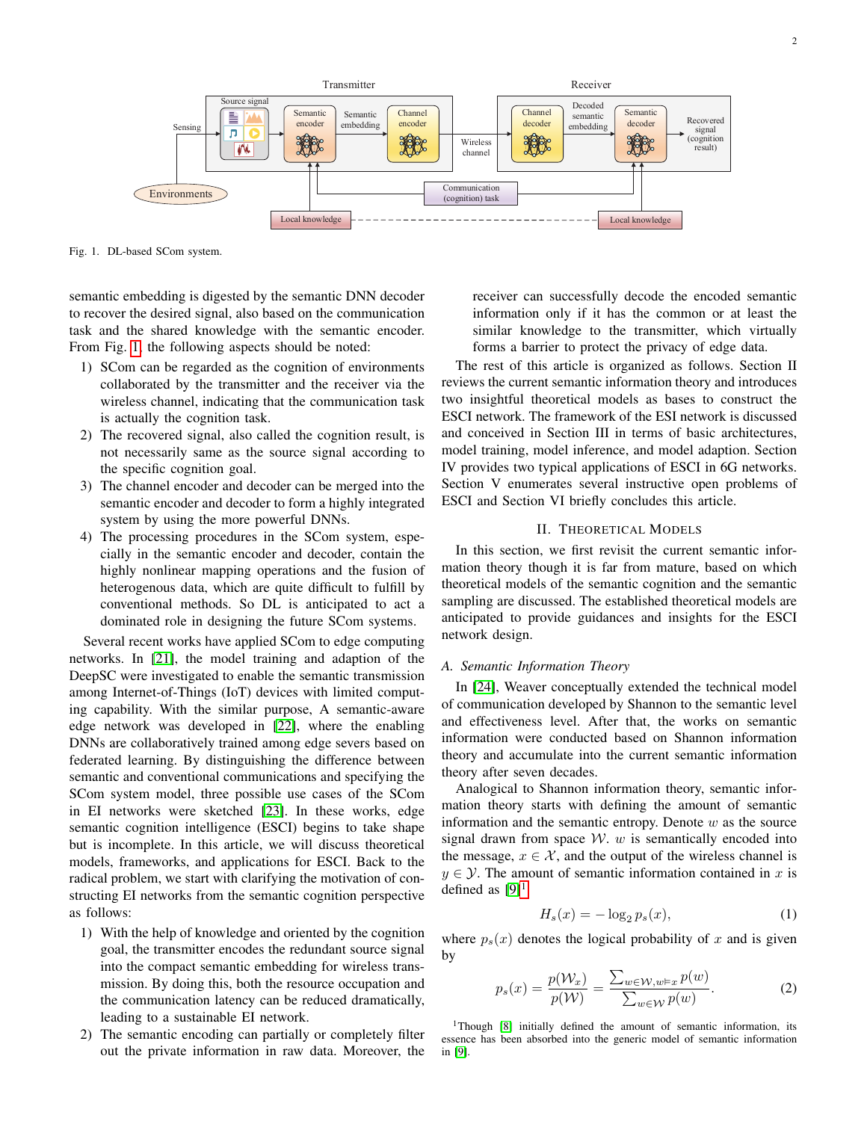

Transmitter

<span id="page-1-0"></span>Fig. 1. DL-based SCom system.

semantic embedding is digested by the semantic DNN decoder to recover the desired signal, also based on the communication task and the shared knowledge with the semantic encoder. From Fig. [1,](#page-1-0) the following aspects should be noted:

- 1) SCom can be regarded as the cognition of environments collaborated by the transmitter and the receiver via the wireless channel, indicating that the communication task is actually the cognition task.
- 2) The recovered signal, also called the cognition result, is not necessarily same as the source signal according to the specific cognition goal.
- 3) The channel encoder and decoder can be merged into the semantic encoder and decoder to form a highly integrated system by using the more powerful DNNs.
- 4) The processing procedures in the SCom system, especially in the semantic encoder and decoder, contain the highly nonlinear mapping operations and the fusion of heterogenous data, which are quite difficult to fulfill by conventional methods. So DL is anticipated to act a dominated role in designing the future SCom systems.

Several recent works have applied SCom to edge computing networks. In [\[21\]](#page-8-1), the model training and adaption of the DeepSC were investigated to enable the semantic transmission among Internet-of-Things (IoT) devices with limited computing capability. With the similar purpose, A semantic-aware edge network was developed in [\[22\]](#page-8-2), where the enabling DNNs are collaboratively trained among edge severs based on federated learning. By distinguishing the difference between semantic and conventional communications and specifying the SCom system model, three possible use cases of the SCom in EI networks were sketched [\[23\]](#page-8-3). In these works, edge semantic cognition intelligence (ESCI) begins to take shape but is incomplete. In this article, we will discuss theoretical models, frameworks, and applications for ESCI. Back to the radical problem, we start with clarifying the motivation of constructing EI networks from the semantic cognition perspective as follows:

- 1) With the help of knowledge and oriented by the cognition goal, the transmitter encodes the redundant source signal into the compact semantic embedding for wireless transmission. By doing this, both the resource occupation and the communication latency can be reduced dramatically, leading to a sustainable EI network.
- 2) The semantic encoding can partially or completely filter out the private information in raw data. Moreover, the

receiver can successfully decode the encoded semantic information only if it has the common or at least the similar knowledge to the transmitter, which virtually forms a barrier to protect the privacy of edge data.

The rest of this article is organized as follows. Section II reviews the current semantic information theory and introduces two insightful theoretical models as bases to construct the ESCI network. The framework of the ESI network is discussed and conceived in Section III in terms of basic architectures, model training, model inference, and model adaption. Section IV provides two typical applications of ESCI in 6G networks. Section V enumerates several instructive open problems of ESCI and Section VI briefly concludes this article.

# II. THEORETICAL MODELS

In this section, we first revisit the current semantic information theory though it is far from mature, based on which theoretical models of the semantic cognition and the semantic sampling are discussed. The established theoretical models are anticipated to provide guidances and insights for the ESCI network design.

## *A. Semantic Information Theory*

In [\[24\]](#page-8-4), Weaver conceptually extended the technical model of communication developed by Shannon to the semantic level and effectiveness level. After that, the works on semantic information were conducted based on Shannon information theory and accumulate into the current semantic information theory after seven decades.

Analogical to Shannon information theory, semantic information theory starts with defining the amount of semantic information and the semantic entropy. Denote  $w$  as the source signal drawn from space  $W$ . w is semantically encoded into the message,  $x \in \mathcal{X}$ , and the output of the wireless channel is  $y \in \mathcal{Y}$ . The amount of semantic information contained in x is defined as  $[9]$ <sup>[1](#page-1-1)</sup>

$$
H_s(x) = -\log_2 p_s(x),\tag{1}
$$

where  $p_s(x)$  denotes the logical probability of x and is given by

<span id="page-1-2"></span>
$$
p_s(x) = \frac{p(\mathcal{W}_x)}{p(\mathcal{W})} = \frac{\sum_{w \in \mathcal{W}, w \models x} p(w)}{\sum_{w \in \mathcal{W}} p(w)}.
$$
 (2)

<span id="page-1-1"></span><sup>1</sup>Though [\[8\]](#page-7-5) initially defined the amount of semantic information, its essence has been absorbed into the generic model of semantic information in [\[9\]](#page-7-6).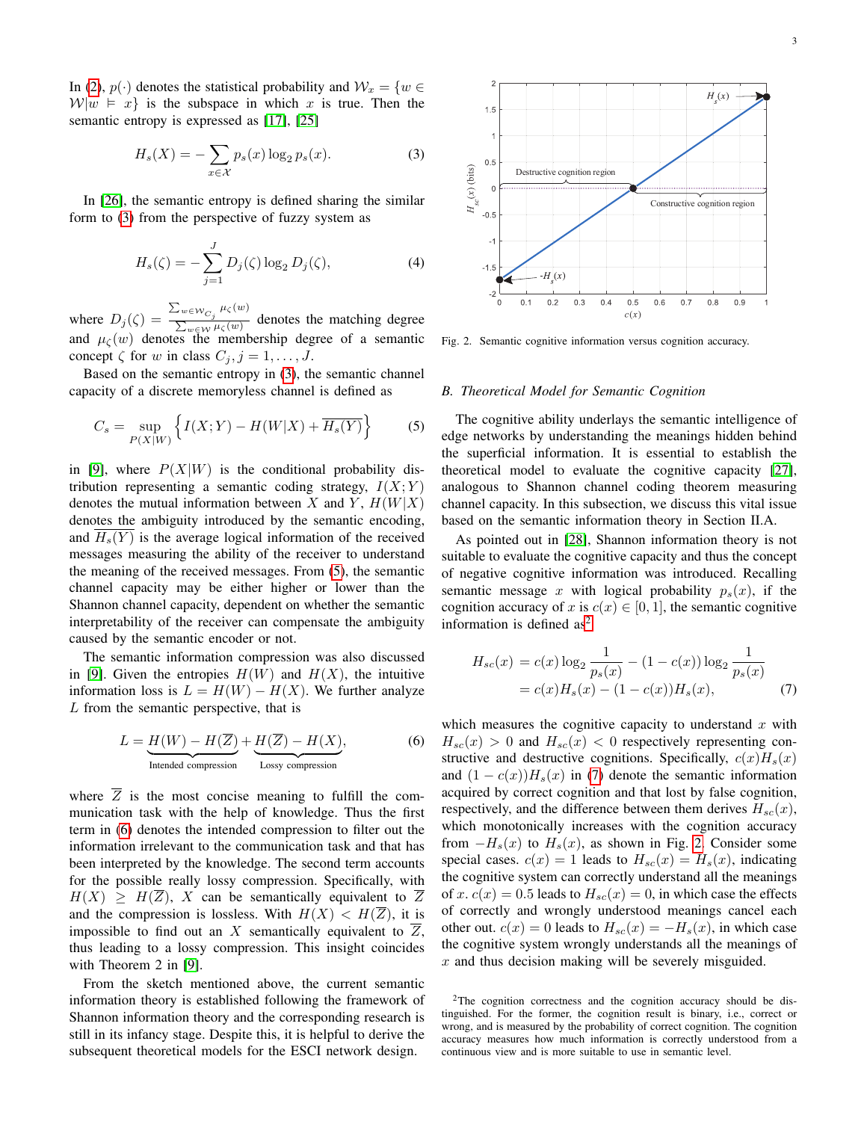In [\(2\)](#page-1-2),  $p(\cdot)$  denotes the statistical probability and  $\mathcal{W}_x = \{w \in$  $W|w \models x$  is the subspace in which x is true. Then the semantic entropy is expressed as [\[17\]](#page-8-5), [\[25\]](#page-8-6)

<span id="page-2-0"></span>
$$
H_s(X) = -\sum_{x \in \mathcal{X}} p_s(x) \log_2 p_s(x).
$$
 (3)

In [\[26\]](#page-8-7), the semantic entropy is defined sharing the similar form to [\(3\)](#page-2-0) from the perspective of fuzzy system as

$$
H_s(\zeta) = -\sum_{j=1}^{J} D_j(\zeta) \log_2 D_j(\zeta),
$$
 (4)

where  $D_j(\zeta) = \frac{\sum_{w \in \mathcal{W}_{C_j}} \mu_{\zeta}(w)}{\sum_{w \in \mathcal{W}_{C_j}(w)}}$  $\frac{\sum_{w \in \mathcal{W}} p_{\zeta}(w)}{\sum_{w \in \mathcal{W}} \mu_{\zeta}(w)}$  denotes the matching degree and  $\mu_{\zeta}(w)$  denotes the membership degree of a semantic concept  $\zeta$  for w in class  $C_j, j = 1, \ldots, J$ .

Based on the semantic entropy in [\(3\)](#page-2-0), the semantic channel capacity of a discrete memoryless channel is defined as

<span id="page-2-1"></span>
$$
C_s = \sup_{P(X|W)} \left\{ I(X;Y) - H(W|X) + \overline{H_s(Y)} \right\}
$$
 (5)

in [\[9\]](#page-7-6), where  $P(X|W)$  is the conditional probability distribution representing a semantic coding strategy,  $I(X; Y)$ denotes the mutual information between X and Y,  $H(W|X)$ denotes the ambiguity introduced by the semantic encoding, and  $H_s(Y)$  is the average logical information of the received messages measuring the ability of the receiver to understand the meaning of the received messages. From [\(5\)](#page-2-1), the semantic channel capacity may be either higher or lower than the Shannon channel capacity, dependent on whether the semantic interpretability of the receiver can compensate the ambiguity caused by the semantic encoder or not.

The semantic information compression was also discussed in [\[9\]](#page-7-6). Given the entropies  $H(W)$  and  $H(X)$ , the intuitive information loss is  $L = H(W) - H(X)$ . We further analyze  $L$  from the semantic perspective, that is

<span id="page-2-2"></span>
$$
L = \underbrace{H(W) - H(\overline{Z})}_{\text{Intended compression}} + \underbrace{H(\overline{Z}) - H(X)}_{\text{Lossy compression}},
$$
(6)

where  $\overline{Z}$  is the most concise meaning to fulfill the communication task with the help of knowledge. Thus the first term in [\(6\)](#page-2-2) denotes the intended compression to filter out the information irrelevant to the communication task and that has been interpreted by the knowledge. The second term accounts for the possible really lossy compression. Specifically, with  $H(X) \geq H(Z)$ , X can be semantically equivalent to Z and the compression is lossless. With  $H(X) < H(\overline{Z})$ , it is impossible to find out an X semantically equivalent to  $\overline{Z}$ , thus leading to a lossy compression. This insight coincides with Theorem 2 in [\[9\]](#page-7-6).

From the sketch mentioned above, the current semantic information theory is established following the framework of Shannon information theory and the corresponding research is still in its infancy stage. Despite this, it is helpful to derive the subsequent theoretical models for the ESCI network design.



<span id="page-2-5"></span>Fig. 2. Semantic cognitive information versus cognition accuracy.

### *B. Theoretical Model for Semantic Cognition*

The cognitive ability underlays the semantic intelligence of edge networks by understanding the meanings hidden behind the superficial information. It is essential to establish the theoretical model to evaluate the cognitive capacity [\[27\]](#page-8-8), analogous to Shannon channel coding theorem measuring channel capacity. In this subsection, we discuss this vital issue based on the semantic information theory in Section II.A.

As pointed out in [\[28\]](#page-8-9), Shannon information theory is not suitable to evaluate the cognitive capacity and thus the concept of negative cognitive information was introduced. Recalling semantic message x with logical probability  $p_s(x)$ , if the cognition accuracy of x is  $c(x) \in [0, 1]$ , the semantic cognitive information is defined  $as<sup>2</sup>$  $as<sup>2</sup>$  $as<sup>2</sup>$ 

<span id="page-2-4"></span>
$$
H_{sc}(x) = c(x) \log_2 \frac{1}{p_s(x)} - (1 - c(x)) \log_2 \frac{1}{p_s(x)}
$$
  
= c(x)H\_s(x) - (1 - c(x))H\_s(x), (7)

which measures the cognitive capacity to understand  $x$  with  $H_{sc}(x) > 0$  and  $H_{sc}(x) < 0$  respectively representing constructive and destructive cognitions. Specifically,  $c(x)H_s(x)$ and  $(1 - c(x))H_s(x)$  in [\(7\)](#page-2-4) denote the semantic information acquired by correct cognition and that lost by false cognition, respectively, and the difference between them derives  $H_{sc}(x)$ , which monotonically increases with the cognition accuracy from  $-H<sub>s</sub>(x)$  to  $H<sub>s</sub>(x)$ , as shown in Fig. [2.](#page-2-5) Consider some special cases.  $c(x) = 1$  leads to  $H_{sc}(x) = H_s(x)$ , indicating the cognitive system can correctly understand all the meanings of x.  $c(x) = 0.5$  leads to  $H_{sc}(x) = 0$ , in which case the effects of correctly and wrongly understood meanings cancel each other out.  $c(x) = 0$  leads to  $H_{sc}(x) = -H_s(x)$ , in which case the cognitive system wrongly understands all the meanings of  $x$  and thus decision making will be severely misguided.

<span id="page-2-3"></span><sup>&</sup>lt;sup>2</sup>The cognition correctness and the cognition accuracy should be distinguished. For the former, the cognition result is binary, i.e., correct or wrong, and is measured by the probability of correct cognition. The cognition accuracy measures how much information is correctly understood from a continuous view and is more suitable to use in semantic level.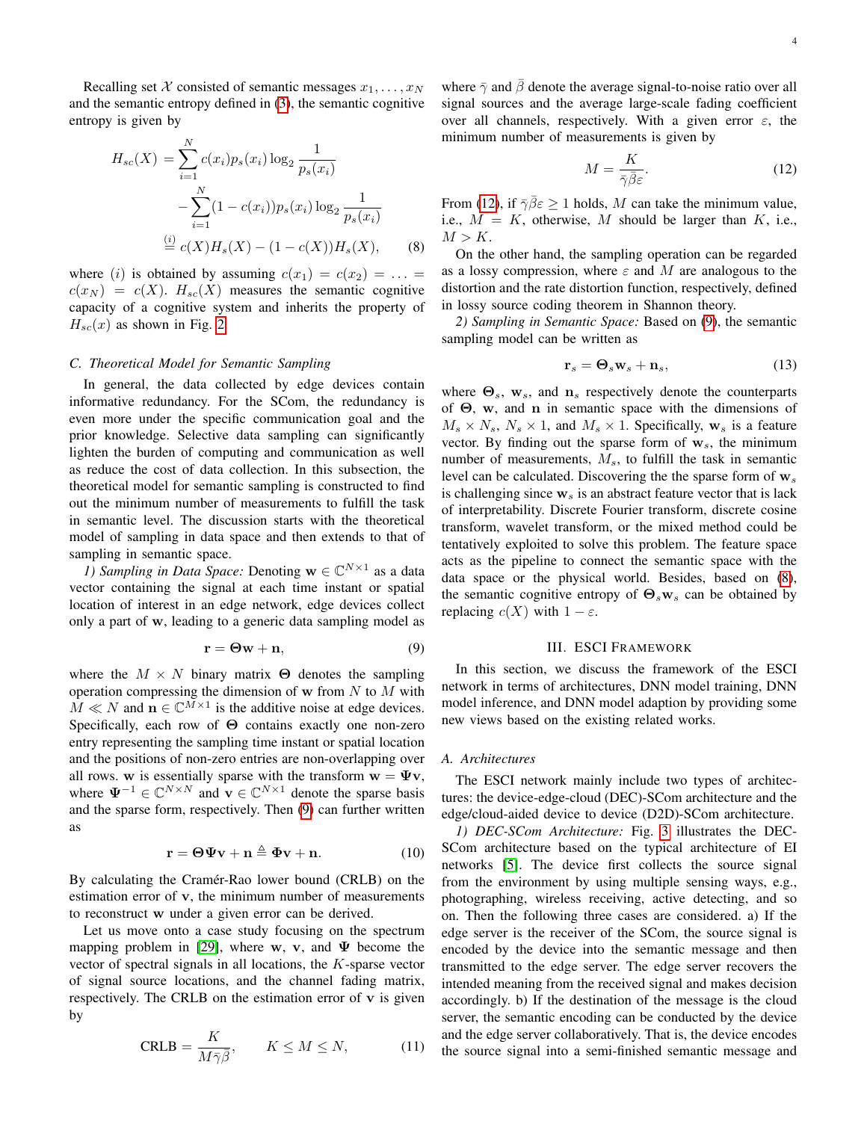Recalling set X consisted of semantic messages  $x_1, \ldots, x_N$ and the semantic entropy defined in [\(3\)](#page-2-0), the semantic cognitive entropy is given by

<span id="page-3-2"></span>
$$
H_{sc}(X) = \sum_{i=1}^{N} c(x_i) p_s(x_i) \log_2 \frac{1}{p_s(x_i)}
$$
  
- 
$$
\sum_{i=1}^{N} (1 - c(x_i)) p_s(x_i) \log_2 \frac{1}{p_s(x_i)}
$$
  

$$
\stackrel{(i)}{=} c(X) H_s(X) - (1 - c(X)) H_s(X), \qquad (8)
$$

where (i) is obtained by assuming  $c(x_1) = c(x_2) = \ldots$  $c(x_N) = c(X)$ .  $H_{sc}(X)$  measures the semantic cognitive capacity of a cognitive system and inherits the property of  $H_{sc}(x)$  as shown in Fig. [2.](#page-2-5)

## *C. Theoretical Model for Semantic Sampling*

In general, the data collected by edge devices contain informative redundancy. For the SCom, the redundancy is even more under the specific communication goal and the prior knowledge. Selective data sampling can significantly lighten the burden of computing and communication as well as reduce the cost of data collection. In this subsection, the theoretical model for semantic sampling is constructed to find out the minimum number of measurements to fulfill the task in semantic level. The discussion starts with the theoretical model of sampling in data space and then extends to that of sampling in semantic space.

*1) Sampling in Data Space:* Denoting  $\mathbf{w} \in \mathbb{C}^{N \times 1}$  as a data vector containing the signal at each time instant or spatial location of interest in an edge network, edge devices collect only a part of w, leading to a generic data sampling model as

<span id="page-3-0"></span>
$$
\mathbf{r} = \mathbf{\Theta} \mathbf{w} + \mathbf{n},\tag{9}
$$

where the  $M \times N$  binary matrix  $\Theta$  denotes the sampling operation compressing the dimension of  $w$  from  $N$  to  $M$  with  $M \ll N$  and  $n \in \mathbb{C}^{\bar{M} \times 1}$  is the additive noise at edge devices. Specifically, each row of Θ contains exactly one non-zero entry representing the sampling time instant or spatial location and the positions of non-zero entries are non-overlapping over all rows. w is essentially sparse with the transform  $w = \Psi v$ , where  $\Psi^{-1} \in \mathbb{C}^{N \times N}$  and  $\mathbf{v} \in \mathbb{C}^{N \times 1}$  denote the sparse basis and the sparse form, respectively. Then [\(9\)](#page-3-0) can further written as

$$
\mathbf{r} = \mathbf{\Theta} \Psi \mathbf{v} + \mathbf{n} \triangleq \Phi \mathbf{v} + \mathbf{n}.\tag{10}
$$

By calculating the Cramér-Rao lower bound (CRLB) on the estimation error of v, the minimum number of measurements to reconstruct w under a given error can be derived.

Let us move onto a case study focusing on the spectrum mapping problem in [\[29\]](#page-8-10), where w, v, and  $\Psi$  become the vector of spectral signals in all locations, the K-sparse vector of signal source locations, and the channel fading matrix, respectively. The CRLB on the estimation error of  $v$  is given by

$$
\text{CRLB} = \frac{K}{M\bar{\gamma}\bar{\beta}}, \qquad K \le M \le N,\tag{11}
$$

where  $\bar{\gamma}$  and  $\bar{\beta}$  denote the average signal-to-noise ratio over all signal sources and the average large-scale fading coefficient over all channels, respectively. With a given error  $\varepsilon$ , the minimum number of measurements is given by

<span id="page-3-1"></span>
$$
M = \frac{K}{\bar{\gamma}\bar{\beta}\varepsilon}.\tag{12}
$$

From [\(12\)](#page-3-1), if  $\bar{\gamma} \bar{\beta} \epsilon \geq 1$  holds, M can take the minimum value, i.e.,  $M = K$ , otherwise, M should be larger than K, i.e.,  $M > K$ .

On the other hand, the sampling operation can be regarded as a lossy compression, where  $\varepsilon$  and M are analogous to the distortion and the rate distortion function, respectively, defined in lossy source coding theorem in Shannon theory.

*2) Sampling in Semantic Space:* Based on [\(9\)](#page-3-0), the semantic sampling model can be written as

$$
\mathbf{r}_s = \mathbf{\Theta}_s \mathbf{w}_s + \mathbf{n}_s, \tag{13}
$$

where  $\Theta_s$ ,  $\mathbf{w}_s$ , and  $\mathbf{n}_s$  respectively denote the counterparts of Θ, w, and n in semantic space with the dimensions of  $M_s \times N_s$ ,  $N_s \times 1$ , and  $M_s \times 1$ . Specifically,  $\mathbf{w}_s$  is a feature vector. By finding out the sparse form of  $w_s$ , the minimum number of measurements,  $M_s$ , to fulfill the task in semantic level can be calculated. Discovering the the sparse form of  $w_s$ is challenging since  $w_s$  is an abstract feature vector that is lack of interpretability. Discrete Fourier transform, discrete cosine transform, wavelet transform, or the mixed method could be tentatively exploited to solve this problem. The feature space acts as the pipeline to connect the semantic space with the data space or the physical world. Besides, based on [\(8\)](#page-3-2), the semantic cognitive entropy of  $\Theta_s w_s$  can be obtained by replacing  $c(X)$  with  $1 - \varepsilon$ .

## III. ESCI FRAMEWORK

In this section, we discuss the framework of the ESCI network in terms of architectures, DNN model training, DNN model inference, and DNN model adaption by providing some new views based on the existing related works.

## *A. Architectures*

The ESCI network mainly include two types of architectures: the device-edge-cloud (DEC)-SCom architecture and the edge/cloud-aided device to device (D2D)-SCom architecture.

*1) DEC-SCom Architecture:* Fig. [3](#page-4-0) illustrates the DEC-SCom architecture based on the typical architecture of EI networks [\[5\]](#page-7-2). The device first collects the source signal from the environment by using multiple sensing ways, e.g., photographing, wireless receiving, active detecting, and so on. Then the following three cases are considered. a) If the edge server is the receiver of the SCom, the source signal is encoded by the device into the semantic message and then transmitted to the edge server. The edge server recovers the intended meaning from the received signal and makes decision accordingly. b) If the destination of the message is the cloud server, the semantic encoding can be conducted by the device and the edge server collaboratively. That is, the device encodes the source signal into a semi-finished semantic message and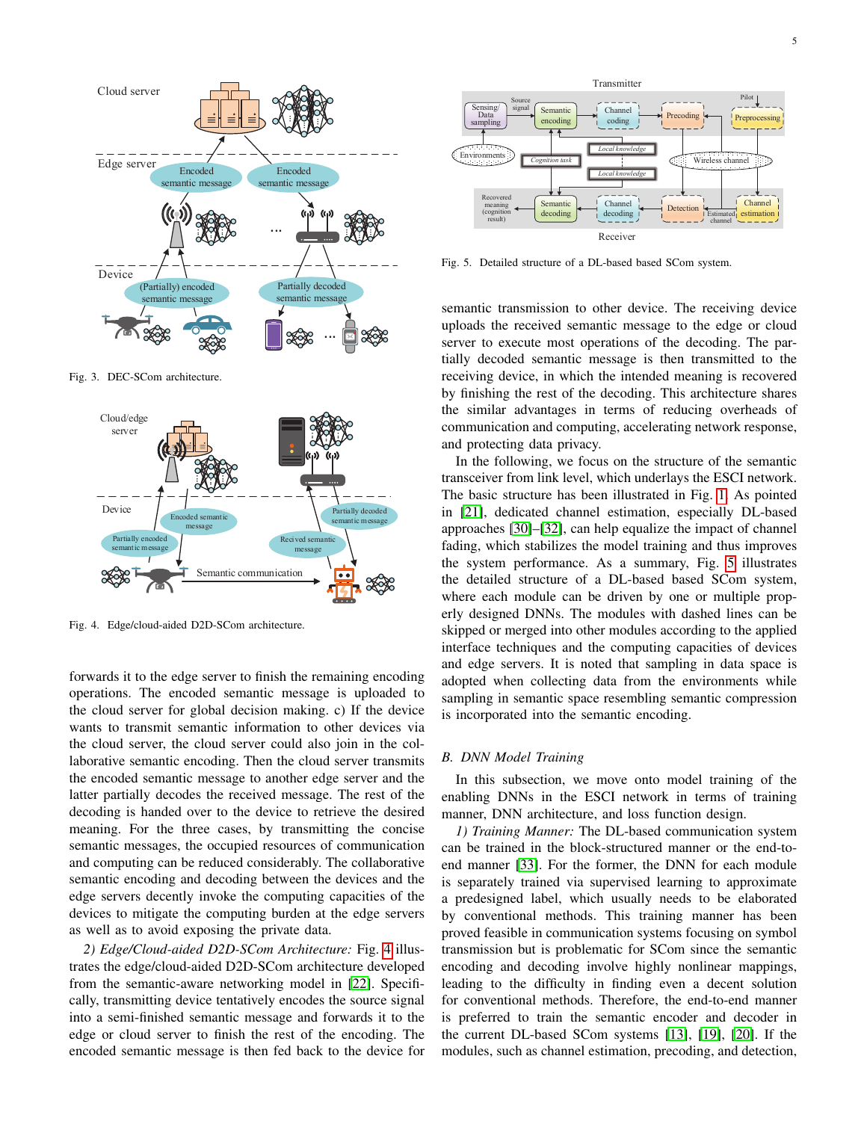

<span id="page-4-0"></span>Fig. 3. DEC-SCom architecture.



<span id="page-4-1"></span>Fig. 4. Edge/cloud-aided D2D-SCom architecture.

forwards it to the edge server to finish the remaining encoding operations. The encoded semantic message is uploaded to the cloud server for global decision making. c) If the device wants to transmit semantic information to other devices via the cloud server, the cloud server could also join in the collaborative semantic encoding. Then the cloud server transmits the encoded semantic message to another edge server and the latter partially decodes the received message. The rest of the decoding is handed over to the device to retrieve the desired meaning. For the three cases, by transmitting the concise semantic messages, the occupied resources of communication and computing can be reduced considerably. The collaborative semantic encoding and decoding between the devices and the edge servers decently invoke the computing capacities of the devices to mitigate the computing burden at the edge servers as well as to avoid exposing the private data.

*2) Edge/Cloud-aided D2D-SCom Architecture:* Fig. [4](#page-4-1) illustrates the edge/cloud-aided D2D-SCom architecture developed from the semantic-aware networking model in [\[22\]](#page-8-2). Specifically, transmitting device tentatively encodes the source signal into a semi-finished semantic message and forwards it to the edge or cloud server to finish the rest of the encoding. The encoded semantic message is then fed back to the device for



<span id="page-4-2"></span>Fig. 5. Detailed structure of a DL-based based SCom system.

semantic transmission to other device. The receiving device uploads the received semantic message to the edge or cloud server to execute most operations of the decoding. The partially decoded semantic message is then transmitted to the receiving device, in which the intended meaning is recovered by finishing the rest of the decoding. This architecture shares the similar advantages in terms of reducing overheads of communication and computing, accelerating network response, and protecting data privacy.

In the following, we focus on the structure of the semantic transceiver from link level, which underlays the ESCI network. The basic structure has been illustrated in Fig. [1.](#page-1-0) As pointed in [\[21\]](#page-8-1), dedicated channel estimation, especially DL-based approaches [\[30\]](#page-8-11)–[\[32\]](#page-8-12), can help equalize the impact of channel fading, which stabilizes the model training and thus improves the system performance. As a summary, Fig. [5](#page-4-2) illustrates the detailed structure of a DL-based based SCom system, where each module can be driven by one or multiple properly designed DNNs. The modules with dashed lines can be skipped or merged into other modules according to the applied interface techniques and the computing capacities of devices and edge servers. It is noted that sampling in data space is adopted when collecting data from the environments while sampling in semantic space resembling semantic compression is incorporated into the semantic encoding.

## *B. DNN Model Training*

In this subsection, we move onto model training of the enabling DNNs in the ESCI network in terms of training manner, DNN architecture, and loss function design.

*1) Training Manner:* The DL-based communication system can be trained in the block-structured manner or the end-toend manner [\[33\]](#page-8-13). For the former, the DNN for each module is separately trained via supervised learning to approximate a predesigned label, which usually needs to be elaborated by conventional methods. This training manner has been proved feasible in communication systems focusing on symbol transmission but is problematic for SCom since the semantic encoding and decoding involve highly nonlinear mappings, leading to the difficulty in finding even a decent solution for conventional methods. Therefore, the end-to-end manner is preferred to train the semantic encoder and decoder in the current DL-based SCom systems [\[13\]](#page-7-10), [\[19\]](#page-8-14), [\[20\]](#page-8-0). If the modules, such as channel estimation, precoding, and detection,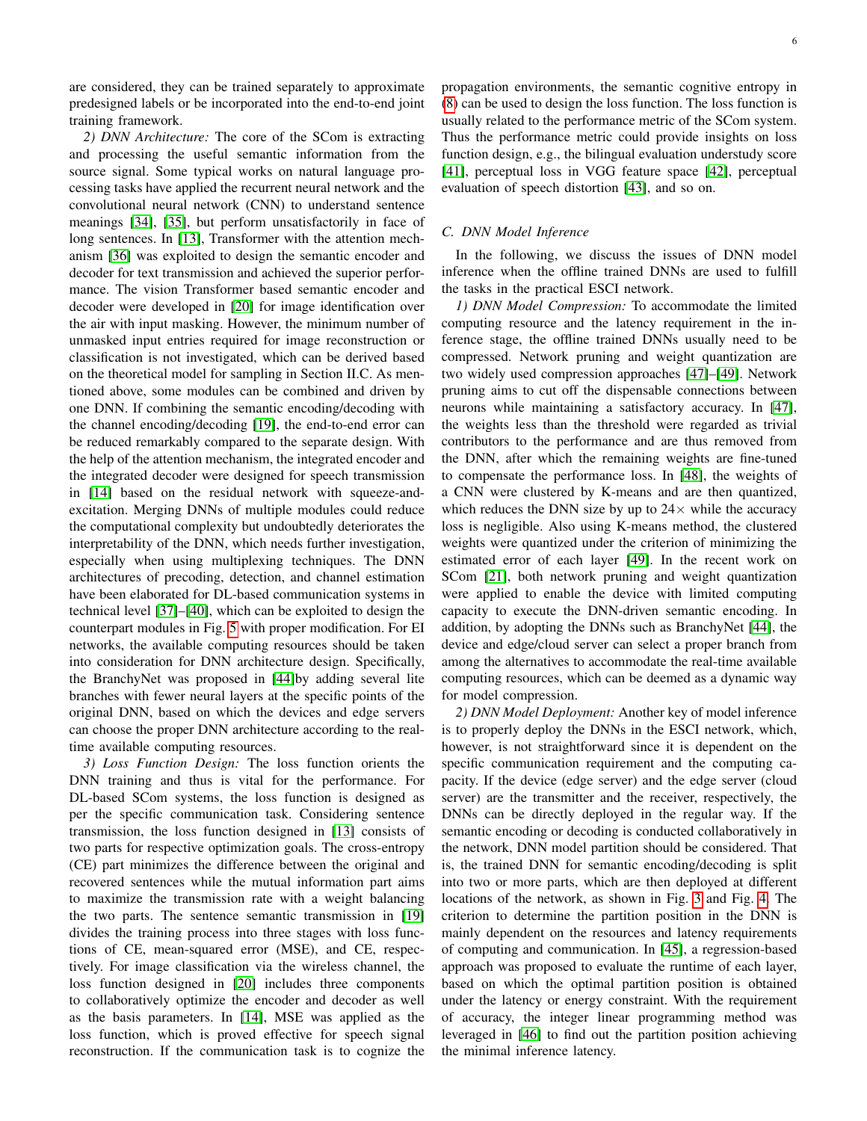are considered, they can be trained separately to approximate predesigned labels or be incorporated into the end-to-end joint training framework.

*2) DNN Architecture:* The core of the SCom is extracting and processing the useful semantic information from the source signal. Some typical works on natural language processing tasks have applied the recurrent neural network and the convolutional neural network (CNN) to understand sentence meanings [\[34\]](#page-8-15), [\[35\]](#page-8-16), but perform unsatisfactorily in face of long sentences. In [\[13\]](#page-7-10), Transformer with the attention mechanism [\[36\]](#page-8-17) was exploited to design the semantic encoder and decoder for text transmission and achieved the superior performance. The vision Transformer based semantic encoder and decoder were developed in [\[20\]](#page-8-0) for image identification over the air with input masking. However, the minimum number of unmasked input entries required for image reconstruction or classification is not investigated, which can be derived based on the theoretical model for sampling in Section II.C. As mentioned above, some modules can be combined and driven by one DNN. If combining the semantic encoding/decoding with the channel encoding/decoding [\[19\]](#page-8-14), the end-to-end error can be reduced remarkably compared to the separate design. With the help of the attention mechanism, the integrated encoder and the integrated decoder were designed for speech transmission in [\[14\]](#page-7-11) based on the residual network with squeeze-andexcitation. Merging DNNs of multiple modules could reduce the computational complexity but undoubtedly deteriorates the interpretability of the DNN, which needs further investigation, especially when using multiplexing techniques. The DNN architectures of precoding, detection, and channel estimation have been elaborated for DL-based communication systems in technical level [\[37\]](#page-8-18)–[\[40\]](#page-8-19), which can be exploited to design the counterpart modules in Fig. [5](#page-4-2) with proper modification. For EI networks, the available computing resources should be taken into consideration for DNN architecture design. Specifically, the BranchyNet was proposed in [\[44\]](#page-8-20)by adding several lite branches with fewer neural layers at the specific points of the original DNN, based on which the devices and edge servers can choose the proper DNN architecture according to the realtime available computing resources.

*3) Loss Function Design:* The loss function orients the DNN training and thus is vital for the performance. For DL-based SCom systems, the loss function is designed as per the specific communication task. Considering sentence transmission, the loss function designed in [\[13\]](#page-7-10) consists of two parts for respective optimization goals. The cross-entropy (CE) part minimizes the difference between the original and recovered sentences while the mutual information part aims to maximize the transmission rate with a weight balancing the two parts. The sentence semantic transmission in [\[19\]](#page-8-14) divides the training process into three stages with loss functions of CE, mean-squared error (MSE), and CE, respectively. For image classification via the wireless channel, the loss function designed in [\[20\]](#page-8-0) includes three components to collaboratively optimize the encoder and decoder as well as the basis parameters. In [\[14\]](#page-7-11), MSE was applied as the loss function, which is proved effective for speech signal reconstruction. If the communication task is to cognize the propagation environments, the semantic cognitive entropy in [\(8\)](#page-3-2) can be used to design the loss function. The loss function is usually related to the performance metric of the SCom system. Thus the performance metric could provide insights on loss function design, e.g., the bilingual evaluation understudy score [\[41\]](#page-8-21), perceptual loss in VGG feature space [\[42\]](#page-8-22), perceptual evaluation of speech distortion [\[43\]](#page-8-23), and so on.

# *C. DNN Model Inference*

In the following, we discuss the issues of DNN model inference when the offline trained DNNs are used to fulfill the tasks in the practical ESCI network.

*1) DNN Model Compression:* To accommodate the limited computing resource and the latency requirement in the inference stage, the offline trained DNNs usually need to be compressed. Network pruning and weight quantization are two widely used compression approaches [\[47\]](#page-8-24)–[\[49\]](#page-8-25). Network pruning aims to cut off the dispensable connections between neurons while maintaining a satisfactory accuracy. In [\[47\]](#page-8-24), the weights less than the threshold were regarded as trivial contributors to the performance and are thus removed from the DNN, after which the remaining weights are fine-tuned to compensate the performance loss. In [\[48\]](#page-8-26), the weights of a CNN were clustered by K-means and are then quantized, which reduces the DNN size by up to  $24\times$  while the accuracy loss is negligible. Also using K-means method, the clustered weights were quantized under the criterion of minimizing the estimated error of each layer [\[49\]](#page-8-25). In the recent work on SCom [\[21\]](#page-8-1), both network pruning and weight quantization were applied to enable the device with limited computing capacity to execute the DNN-driven semantic encoding. In addition, by adopting the DNNs such as BranchyNet [\[44\]](#page-8-20), the device and edge/cloud server can select a proper branch from among the alternatives to accommodate the real-time available computing resources, which can be deemed as a dynamic way for model compression.

*2) DNN Model Deployment:* Another key of model inference is to properly deploy the DNNs in the ESCI network, which, however, is not straightforward since it is dependent on the specific communication requirement and the computing capacity. If the device (edge server) and the edge server (cloud server) are the transmitter and the receiver, respectively, the DNNs can be directly deployed in the regular way. If the semantic encoding or decoding is conducted collaboratively in the network, DNN model partition should be considered. That is, the trained DNN for semantic encoding/decoding is split into two or more parts, which are then deployed at different locations of the network, as shown in Fig. [3](#page-4-0) and Fig. [4.](#page-4-1) The criterion to determine the partition position in the DNN is mainly dependent on the resources and latency requirements of computing and communication. In [\[45\]](#page-8-27), a regression-based approach was proposed to evaluate the runtime of each layer, based on which the optimal partition position is obtained under the latency or energy constraint. With the requirement of accuracy, the integer linear programming method was leveraged in [\[46\]](#page-8-28) to find out the partition position achieving the minimal inference latency.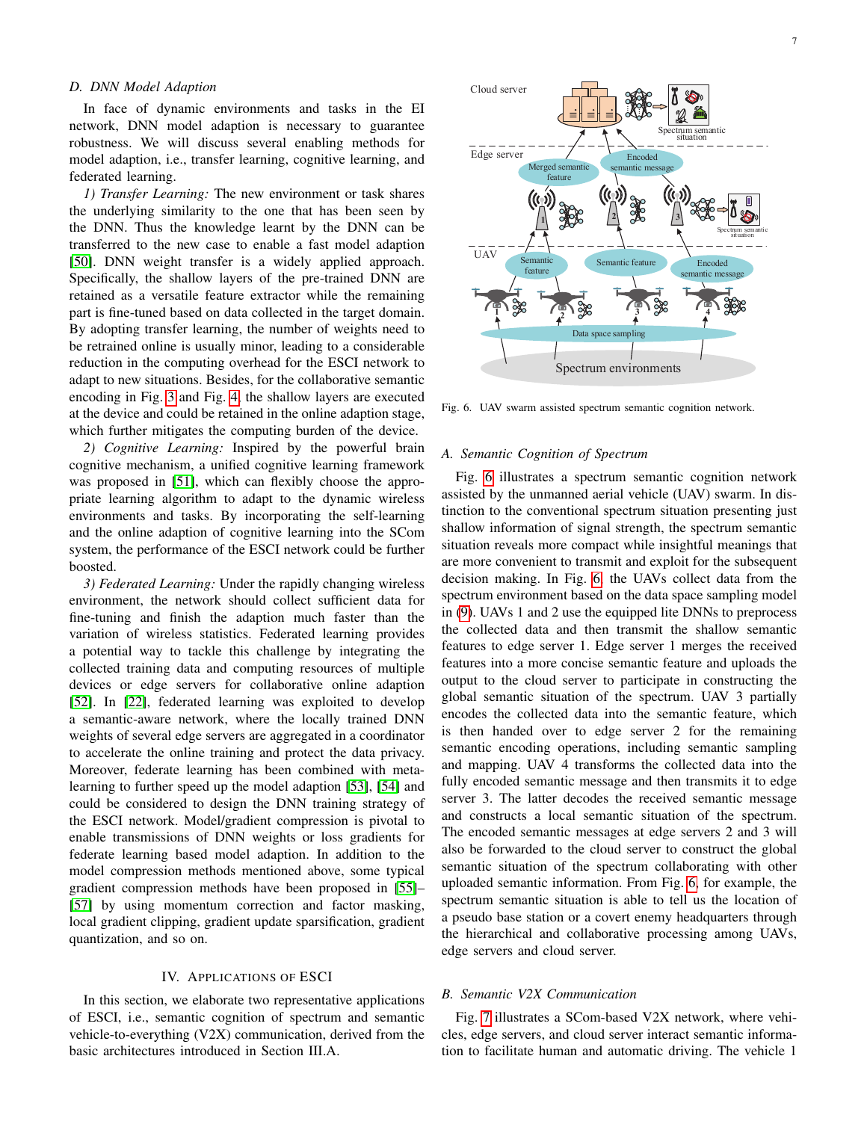## *D. DNN Model Adaption*

In face of dynamic environments and tasks in the EI network, DNN model adaption is necessary to guarantee robustness. We will discuss several enabling methods for model adaption, i.e., transfer learning, cognitive learning, and federated learning.

*1) Transfer Learning:* The new environment or task shares the underlying similarity to the one that has been seen by the DNN. Thus the knowledge learnt by the DNN can be transferred to the new case to enable a fast model adaption [\[50\]](#page-8-29). DNN weight transfer is a widely applied approach. Specifically, the shallow layers of the pre-trained DNN are retained as a versatile feature extractor while the remaining part is fine-tuned based on data collected in the target domain. By adopting transfer learning, the number of weights need to be retrained online is usually minor, leading to a considerable reduction in the computing overhead for the ESCI network to adapt to new situations. Besides, for the collaborative semantic encoding in Fig. [3](#page-4-0) and Fig. [4,](#page-4-1) the shallow layers are executed at the device and could be retained in the online adaption stage, which further mitigates the computing burden of the device.

*2) Cognitive Learning:* Inspired by the powerful brain cognitive mechanism, a unified cognitive learning framework was proposed in [\[51\]](#page-8-30), which can flexibly choose the appropriate learning algorithm to adapt to the dynamic wireless environments and tasks. By incorporating the self-learning and the online adaption of cognitive learning into the SCom system, the performance of the ESCI network could be further boosted.

*3) Federated Learning:* Under the rapidly changing wireless environment, the network should collect sufficient data for fine-tuning and finish the adaption much faster than the variation of wireless statistics. Federated learning provides a potential way to tackle this challenge by integrating the collected training data and computing resources of multiple devices or edge servers for collaborative online adaption [\[52\]](#page-8-31). In [\[22\]](#page-8-2), federated learning was exploited to develop a semantic-aware network, where the locally trained DNN weights of several edge servers are aggregated in a coordinator to accelerate the online training and protect the data privacy. Moreover, federate learning has been combined with metalearning to further speed up the model adaption [\[53\]](#page-8-32), [\[54\]](#page-8-33) and could be considered to design the DNN training strategy of the ESCI network. Model/gradient compression is pivotal to enable transmissions of DNN weights or loss gradients for federate learning based model adaption. In addition to the model compression methods mentioned above, some typical gradient compression methods have been proposed in [\[55\]](#page-8-34)– [\[57\]](#page-8-35) by using momentum correction and factor masking, local gradient clipping, gradient update sparsification, gradient quantization, and so on.

### IV. APPLICATIONS OF ESCI

In this section, we elaborate two representative applications of ESCI, i.e., semantic cognition of spectrum and semantic vehicle-to-everything (V2X) communication, derived from the basic architectures introduced in Section III.A.



<span id="page-6-0"></span>Fig. 6. UAV swarm assisted spectrum semantic cognition network.

## *A. Semantic Cognition of Spectrum*

Fig. [6](#page-6-0) illustrates a spectrum semantic cognition network assisted by the unmanned aerial vehicle (UAV) swarm. In distinction to the conventional spectrum situation presenting just shallow information of signal strength, the spectrum semantic situation reveals more compact while insightful meanings that are more convenient to transmit and exploit for the subsequent decision making. In Fig. [6,](#page-6-0) the UAVs collect data from the spectrum environment based on the data space sampling model in [\(9\)](#page-3-0). UAVs 1 and 2 use the equipped lite DNNs to preprocess the collected data and then transmit the shallow semantic features to edge server 1. Edge server 1 merges the received features into a more concise semantic feature and uploads the output to the cloud server to participate in constructing the global semantic situation of the spectrum. UAV 3 partially encodes the collected data into the semantic feature, which is then handed over to edge server 2 for the remaining semantic encoding operations, including semantic sampling and mapping. UAV 4 transforms the collected data into the fully encoded semantic message and then transmits it to edge server 3. The latter decodes the received semantic message and constructs a local semantic situation of the spectrum. The encoded semantic messages at edge servers 2 and 3 will also be forwarded to the cloud server to construct the global semantic situation of the spectrum collaborating with other uploaded semantic information. From Fig. [6,](#page-6-0) for example, the spectrum semantic situation is able to tell us the location of a pseudo base station or a covert enemy headquarters through the hierarchical and collaborative processing among UAVs, edge servers and cloud server.

## *B. Semantic V2X Communication*

Fig. [7](#page-7-14) illustrates a SCom-based V2X network, where vehicles, edge servers, and cloud server interact semantic information to facilitate human and automatic driving. The vehicle 1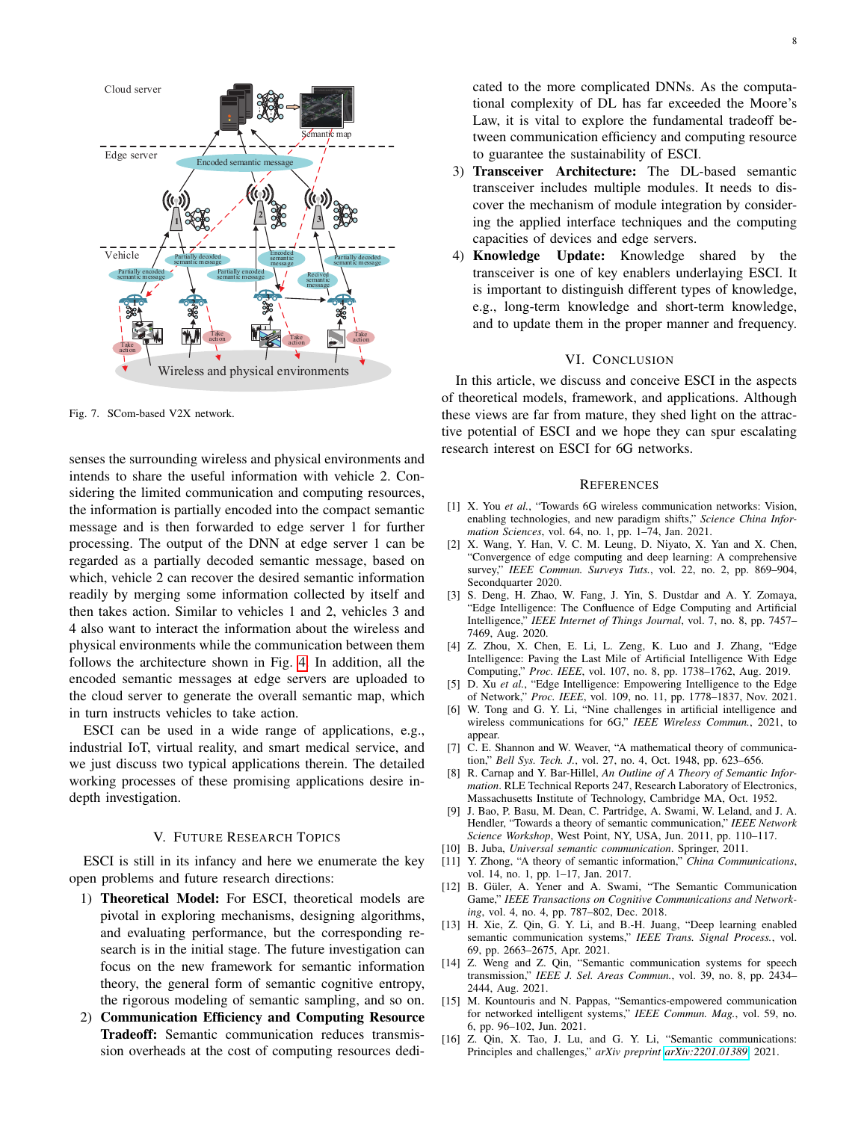

<span id="page-7-14"></span>Fig. 7. SCom-based V2X network.

senses the surrounding wireless and physical environments and intends to share the useful information with vehicle 2. Considering the limited communication and computing resources, the information is partially encoded into the compact semantic message and is then forwarded to edge server 1 for further processing. The output of the DNN at edge server 1 can be regarded as a partially decoded semantic message, based on which, vehicle 2 can recover the desired semantic information readily by merging some information collected by itself and then takes action. Similar to vehicles 1 and 2, vehicles 3 and 4 also want to interact the information about the wireless and physical environments while the communication between them follows the architecture shown in Fig. [4.](#page-4-1) In addition, all the encoded semantic messages at edge servers are uploaded to the cloud server to generate the overall semantic map, which in turn instructs vehicles to take action.

ESCI can be used in a wide range of applications, e.g., industrial IoT, virtual reality, and smart medical service, and we just discuss two typical applications therein. The detailed working processes of these promising applications desire indepth investigation.

## V. FUTURE RESEARCH TOPICS

ESCI is still in its infancy and here we enumerate the key open problems and future research directions:

- 1) Theoretical Model: For ESCI, theoretical models are pivotal in exploring mechanisms, designing algorithms, and evaluating performance, but the corresponding research is in the initial stage. The future investigation can focus on the new framework for semantic information theory, the general form of semantic cognitive entropy, the rigorous modeling of semantic sampling, and so on.
- 2) Communication Efficiency and Computing Resource Tradeoff: Semantic communication reduces transmission overheads at the cost of computing resources dedi-

cated to the more complicated DNNs. As the computational complexity of DL has far exceeded the Moore's Law, it is vital to explore the fundamental tradeoff between communication efficiency and computing resource to guarantee the sustainability of ESCI.

- 3) Transceiver Architecture: The DL-based semantic transceiver includes multiple modules. It needs to discover the mechanism of module integration by considering the applied interface techniques and the computing capacities of devices and edge servers.
- 4) Knowledge Update: Knowledge shared by the transceiver is one of key enablers underlaying ESCI. It is important to distinguish different types of knowledge, e.g., long-term knowledge and short-term knowledge, and to update them in the proper manner and frequency.

# VI. CONCLUSION

In this article, we discuss and conceive ESCI in the aspects of theoretical models, framework, and applications. Although these views are far from mature, they shed light on the attractive potential of ESCI and we hope they can spur escalating research interest on ESCI for 6G networks.

### **REFERENCES**

- <span id="page-7-0"></span>[1] X. You *et al.*, "Towards 6G wireless communication networks: Vision, enabling technologies, and new paradigm shifts," *Science China Information Sciences*, vol. 64, no. 1, pp. 1–74, Jan. 2021.
- <span id="page-7-1"></span>[2] X. Wang, Y. Han, V. C. M. Leung, D. Niyato, X. Yan and X. Chen, "Convergence of edge computing and deep learning: A comprehensive survey," *IEEE Commun. Surveys Tuts.*, vol. 22, no. 2, pp. 869–904, Secondquarter 2020.
- [3] S. Deng, H. Zhao, W. Fang, J. Yin, S. Dustdar and A. Y. Zomaya, "Edge Intelligence: The Confluence of Edge Computing and Artificial Intelligence," *IEEE Internet of Things Journal*, vol. 7, no. 8, pp. 7457– 7469, Aug. 2020.
- [4] Z. Zhou, X. Chen, E. Li, L. Zeng, K. Luo and J. Zhang, "Edge Intelligence: Paving the Last Mile of Artificial Intelligence With Edge Computing," *Proc. IEEE*, vol. 107, no. 8, pp. 1738–1762, Aug. 2019.
- <span id="page-7-2"></span>[5] D. Xu *et al.*, "Edge Intelligence: Empowering Intelligence to the Edge of Network," *Proc. IEEE*, vol. 109, no. 11, pp. 1778–1837, Nov. 2021.
- <span id="page-7-3"></span>[6] W. Tong and G. Y. Li, "Nine challenges in artificial intelligence and wireless communications for 6G," *IEEE Wireless Commun.*, 2021, to appear.
- <span id="page-7-4"></span>[7] C. E. Shannon and W. Weaver, "A mathematical theory of communication," *Bell Sys. Tech. J.*, vol. 27, no. 4, Oct. 1948, pp. 623–656.
- <span id="page-7-5"></span>[8] R. Carnap and Y. Bar-Hillel, *An Outline of A Theory of Semantic Information*. RLE Technical Reports 247, Research Laboratory of Electronics, Massachusetts Institute of Technology, Cambridge MA, Oct. 1952.
- <span id="page-7-6"></span>[9] J. Bao, P. Basu, M. Dean, C. Partridge, A. Swami, W. Leland, and J. A. Hendler, "Towards a theory of semantic communication," *IEEE Network Science Workshop*, West Point, NY, USA, Jun. 2011, pp. 110–117.
- <span id="page-7-7"></span>[10] B. Juba, *Universal semantic communication*. Springer, 2011.
- <span id="page-7-8"></span>[11] Y. Zhong, "A theory of semantic information," *China Communications*, vol. 14, no. 1, pp. 1–17, Jan. 2017.
- <span id="page-7-9"></span>[12] B. Güler, A. Yener and A. Swami, "The Semantic Communication Game," *IEEE Transactions on Cognitive Communications and Networking*, vol. 4, no. 4, pp. 787–802, Dec. 2018.
- <span id="page-7-10"></span>[13] H. Xie, Z. Qin, G. Y. Li, and B.-H. Juang, "Deep learning enabled semantic communication systems," *IEEE Trans. Signal Process.*, vol. 69, pp. 2663–2675, Apr. 2021.
- <span id="page-7-11"></span>[14] Z. Weng and Z. Qin, "Semantic communication systems for speech transmission," *IEEE J. Sel. Areas Commun.*, vol. 39, no. 8, pp. 2434– 2444, Aug. 2021.
- <span id="page-7-12"></span>[15] M. Kountouris and N. Pappas, "Semantics-empowered communication for networked intelligent systems," *IEEE Commun. Mag.*, vol. 59, no. 6, pp. 96–102, Jun. 2021.
- <span id="page-7-13"></span>[16] Z. Qin, X. Tao, J. Lu, and G. Y. Li, "Semantic communications: Principles and challenges," *arXiv preprint [arXiv:2201.01389](http://arxiv.org/abs/2201.01389)*, 2021.